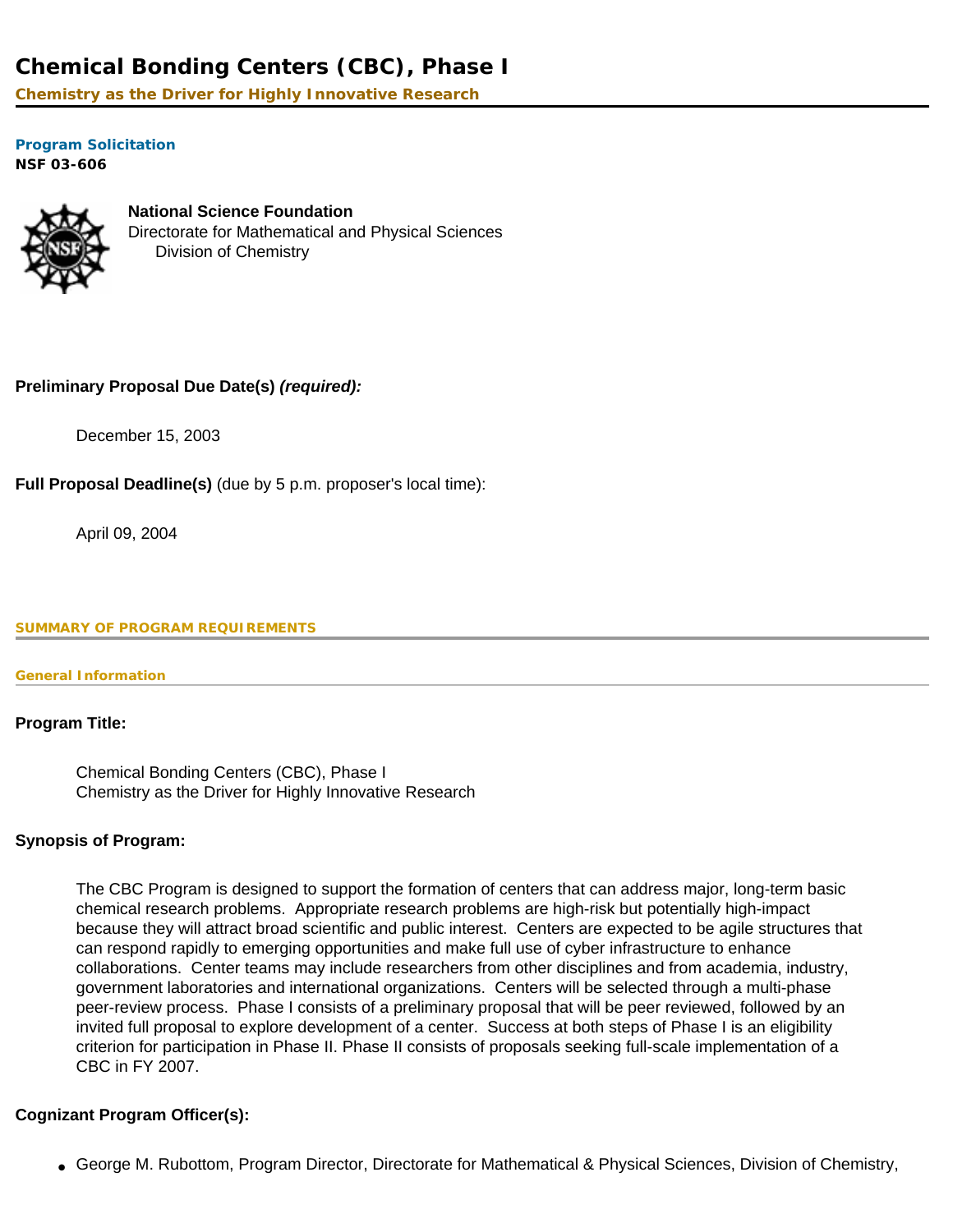# **Chemical Bonding Centers (CBC), Phase I**

**Chemistry as the Driver for Highly Innovative Research**

**[Program Solicitation](#page-2-0)  NSF 03-606** 



**National Science Foundation** Directorate for Mathematical and Physical Sciences Division of Chemistry

# **Preliminary Proposal Due Date(s)** *(required):*

December 15, 2003

**Full Proposal Deadline(s)** (due by 5 p.m. proposer's local time):

April 09, 2004

### <span id="page-0-0"></span>**SUMMARY OF PROGRAM REQUIREMENTS**

### **General Information**

### **Program Title:**

Chemical Bonding Centers (CBC), Phase I Chemistry as the Driver for Highly Innovative Research

### **Synopsis of Program:**

The CBC Program is designed to support the formation of centers that can address major, long-term basic chemical research problems. Appropriate research problems are high-risk but potentially high-impact because they will attract broad scientific and public interest. Centers are expected to be agile structures that can respond rapidly to emerging opportunities and make full use of cyber infrastructure to enhance collaborations. Center teams may include researchers from other disciplines and from academia, industry, government laboratories and international organizations. Centers will be selected through a multi-phase peer-review process. Phase I consists of a preliminary proposal that will be peer reviewed, followed by an invited full proposal to explore development of a center. Success at both steps of Phase I is an eligibility criterion for participation in Phase II. Phase II consists of proposals seeking full-scale implementation of a CBC in FY 2007.

### **Cognizant Program Officer(s):**

• George M. Rubottom, Program Director, Directorate for Mathematical & Physical Sciences, Division of Chemistry,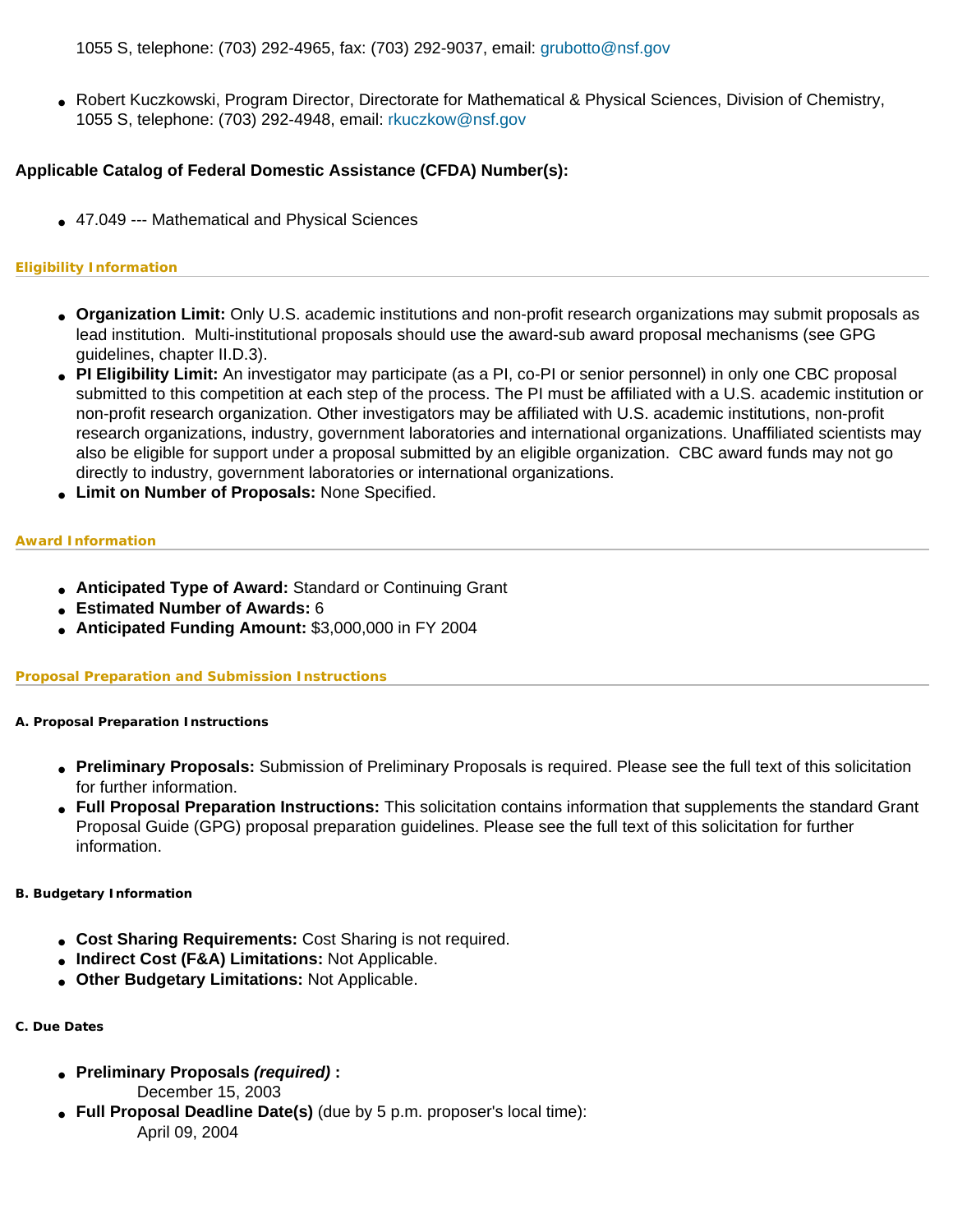1055 S, telephone: (703) 292-4965, fax: (703) 292-9037, email: [grubotto@nsf.gov](mailto:grubotto@nsf.gov)

● Robert Kuczkowski, Program Director, Directorate for Mathematical & Physical Sciences, Division of Chemistry, 1055 S, telephone: (703) 292-4948, email: [rkuczkow@nsf.gov](mailto:rkuczkow@nsf.gov)

# **Applicable Catalog of Federal Domestic Assistance (CFDA) Number(s):**

• 47.049 --- Mathematical and Physical Sciences

### **Eligibility Information**

- **Organization Limit:** Only U.S. academic institutions and non-profit research organizations may submit proposals as lead institution. Multi-institutional proposals should use the award-sub award proposal mechanisms (see GPG guidelines, chapter II.D.3).
- **PI Eligibility Limit:** An investigator may participate (as a PI, co-PI or senior personnel) in only one CBC proposal submitted to this competition at each step of the process. The PI must be affiliated with a U.S. academic institution or non-profit research organization. Other investigators may be affiliated with U.S. academic institutions, non-profit research organizations, industry, government laboratories and international organizations. Unaffiliated scientists may also be eligible for support under a proposal submitted by an eligible organization. CBC award funds may not go directly to industry, government laboratories or international organizations.
- **Limit on Number of Proposals: None Specified.**

### **Award Information**

- **Anticipated Type of Award:** Standard or Continuing Grant
- **Estimated Number of Awards:** 6
- **Anticipated Funding Amount:** \$3,000,000 in FY 2004

### **Proposal Preparation and Submission Instructions**

### **A. Proposal Preparation Instructions**

- **Preliminary Proposals:** Submission of Preliminary Proposals is required. Please see the full text of this solicitation for further information.
- **Full Proposal Preparation Instructions:** This solicitation contains information that supplements the standard Grant Proposal Guide (GPG) proposal preparation guidelines. Please see the full text of this solicitation for further information.

### **B. Budgetary Information**

- Cost Sharing Requirements: Cost Sharing is not required.
- **Indirect Cost (F&A) Limitations:** Not Applicable.
- **Other Budgetary Limitations: Not Applicable.**

# **C. Due Dates**

- **Preliminary Proposals** *(required)* **:** December 15, 2003
- **Full Proposal Deadline Date(s)** (due by 5 p.m. proposer's local time): April 09, 2004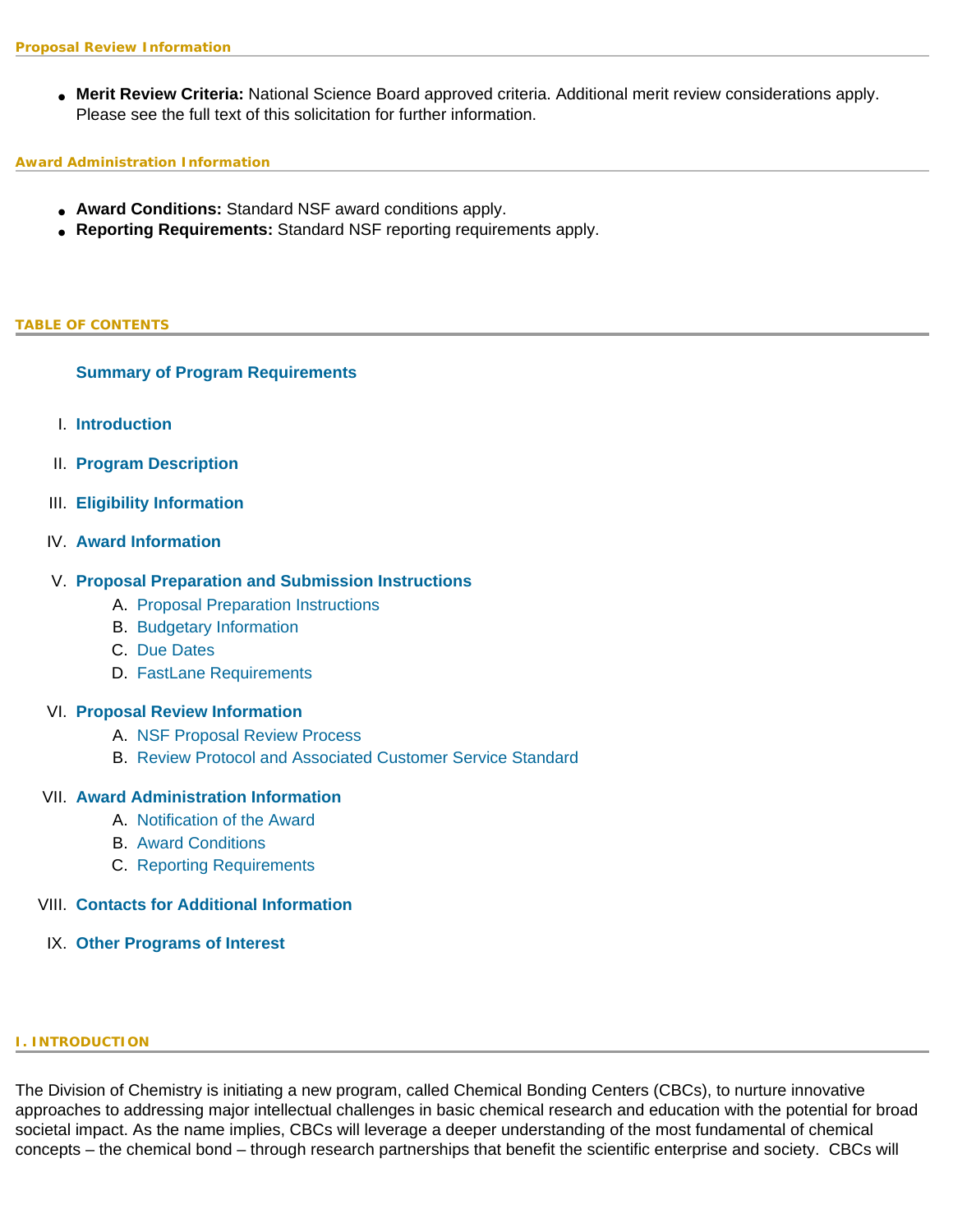● **Merit Review Criteria:** National Science Board approved criteria. Additional merit review considerations apply. Please see the full text of this solicitation for further information.

#### **Award Administration Information**

- **Award Conditions:** Standard NSF award conditions apply.
- **Reporting Requirements:** Standard NSF reporting requirements apply.

### <span id="page-2-0"></span>**TABLE OF CONTENTS**

## **[Summary of Program Requirements](#page-0-0)**

- I. **[Introduction](#page-2-1)**
- II. **[Program Description](#page-3-0)**
- III. **[Eligibility Information](#page-4-0)**
- IV. **[Award Information](#page-4-1)**

## V. **[Proposal Preparation and Submission Instructions](#page-5-0)**

- A. [Proposal Preparation Instructions](#page-5-0)
- B. [Budgetary Information](#page-7-0)
- C. [Due Dates](#page-8-0)
- D. [FastLane Requirements](#page-8-1)

### VI. **[Proposal Review Information](#page-8-2)**

- A. [NSF Proposal Review Process](#page-8-3)
- B. [Review Protocol and Associated Customer Service Standard](#page-10-0)

### VII. **[Award Administration Information](#page-11-0)**

- A. [Notification of the Award](#page-11-1)
- B. [Award Conditions](#page-11-2)
- C. [Reporting Requirements](#page-11-3)

### VIII. **[Contacts for Additional Information](#page-11-4)**

IX. **[Other Programs of Interest](#page-12-0)**

### <span id="page-2-1"></span>**I. INTRODUCTION**

The Division of Chemistry is initiating a new program, called Chemical Bonding Centers (CBCs), to nurture innovative approaches to addressing major intellectual challenges in basic chemical research and education with the potential for broad societal impact. As the name implies, CBCs will leverage a deeper understanding of the most fundamental of chemical concepts – the chemical bond – through research partnerships that benefit the scientific enterprise and society. CBCs will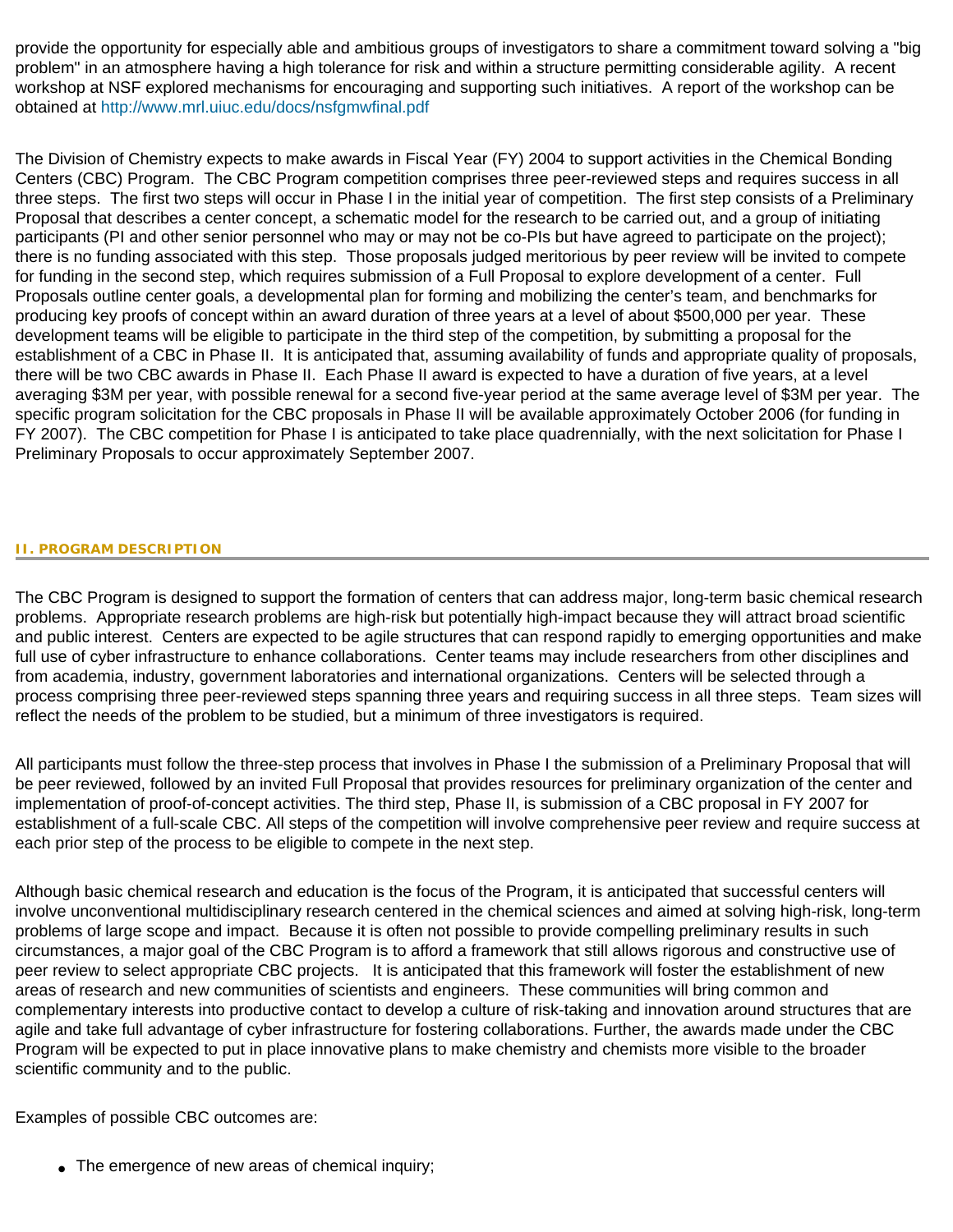provide the opportunity for especially able and ambitious groups of investigators to share a commitment toward solving a "big problem" in an atmosphere having a high tolerance for risk and within a structure permitting considerable agility. A recent workshop at NSF explored mechanisms for encouraging and supporting such initiatives. A report of the workshop can be obtained at <http://www.mrl.uiuc.edu/docs/nsfgmwfinal.pdf>

The Division of Chemistry expects to make awards in Fiscal Year (FY) 2004 to support activities in the Chemical Bonding Centers (CBC) Program. The CBC Program competition comprises three peer-reviewed steps and requires success in all three steps. The first two steps will occur in Phase I in the initial year of competition. The first step consists of a Preliminary Proposal that describes a center concept, a schematic model for the research to be carried out, and a group of initiating participants (PI and other senior personnel who may or may not be co-PIs but have agreed to participate on the project); there is no funding associated with this step. Those proposals judged meritorious by peer review will be invited to compete for funding in the second step, which requires submission of a Full Proposal to explore development of a center. Full Proposals outline center goals, a developmental plan for forming and mobilizing the center's team, and benchmarks for producing key proofs of concept within an award duration of three years at a level of about \$500,000 per year. These development teams will be eligible to participate in the third step of the competition, by submitting a proposal for the establishment of a CBC in Phase II. It is anticipated that, assuming availability of funds and appropriate quality of proposals, there will be two CBC awards in Phase II. Each Phase II award is expected to have a duration of five years, at a level averaging \$3M per year, with possible renewal for a second five-year period at the same average level of \$3M per year. The specific program solicitation for the CBC proposals in Phase II will be available approximately October 2006 (for funding in FY 2007). The CBC competition for Phase I is anticipated to take place quadrennially, with the next solicitation for Phase I Preliminary Proposals to occur approximately September 2007.

### <span id="page-3-0"></span>**II. PROGRAM DESCRIPTION**

The CBC Program is designed to support the formation of centers that can address major, long-term basic chemical research problems. Appropriate research problems are high-risk but potentially high-impact because they will attract broad scientific and public interest. Centers are expected to be agile structures that can respond rapidly to emerging opportunities and make full use of cyber infrastructure to enhance collaborations. Center teams may include researchers from other disciplines and from academia, industry, government laboratories and international organizations. Centers will be selected through a process comprising three peer-reviewed steps spanning three years and requiring success in all three steps. Team sizes will reflect the needs of the problem to be studied, but a minimum of three investigators is required.

All participants must follow the three-step process that involves in Phase I the submission of a Preliminary Proposal that will be peer reviewed, followed by an invited Full Proposal that provides resources for preliminary organization of the center and implementation of proof-of-concept activities. The third step, Phase II, is submission of a CBC proposal in FY 2007 for establishment of a full-scale CBC. All steps of the competition will involve comprehensive peer review and require success at each prior step of the process to be eligible to compete in the next step.

Although basic chemical research and education is the focus of the Program, it is anticipated that successful centers will involve unconventional multidisciplinary research centered in the chemical sciences and aimed at solving high-risk, long-term problems of large scope and impact. Because it is often not possible to provide compelling preliminary results in such circumstances, a major goal of the CBC Program is to afford a framework that still allows rigorous and constructive use of peer review to select appropriate CBC projects. It is anticipated that this framework will foster the establishment of new areas of research and new communities of scientists and engineers. These communities will bring common and complementary interests into productive contact to develop a culture of risk-taking and innovation around structures that are agile and take full advantage of cyber infrastructure for fostering collaborations. Further, the awards made under the CBC Program will be expected to put in place innovative plans to make chemistry and chemists more visible to the broader scientific community and to the public.

Examples of possible CBC outcomes are:

• The emergence of new areas of chemical inquiry;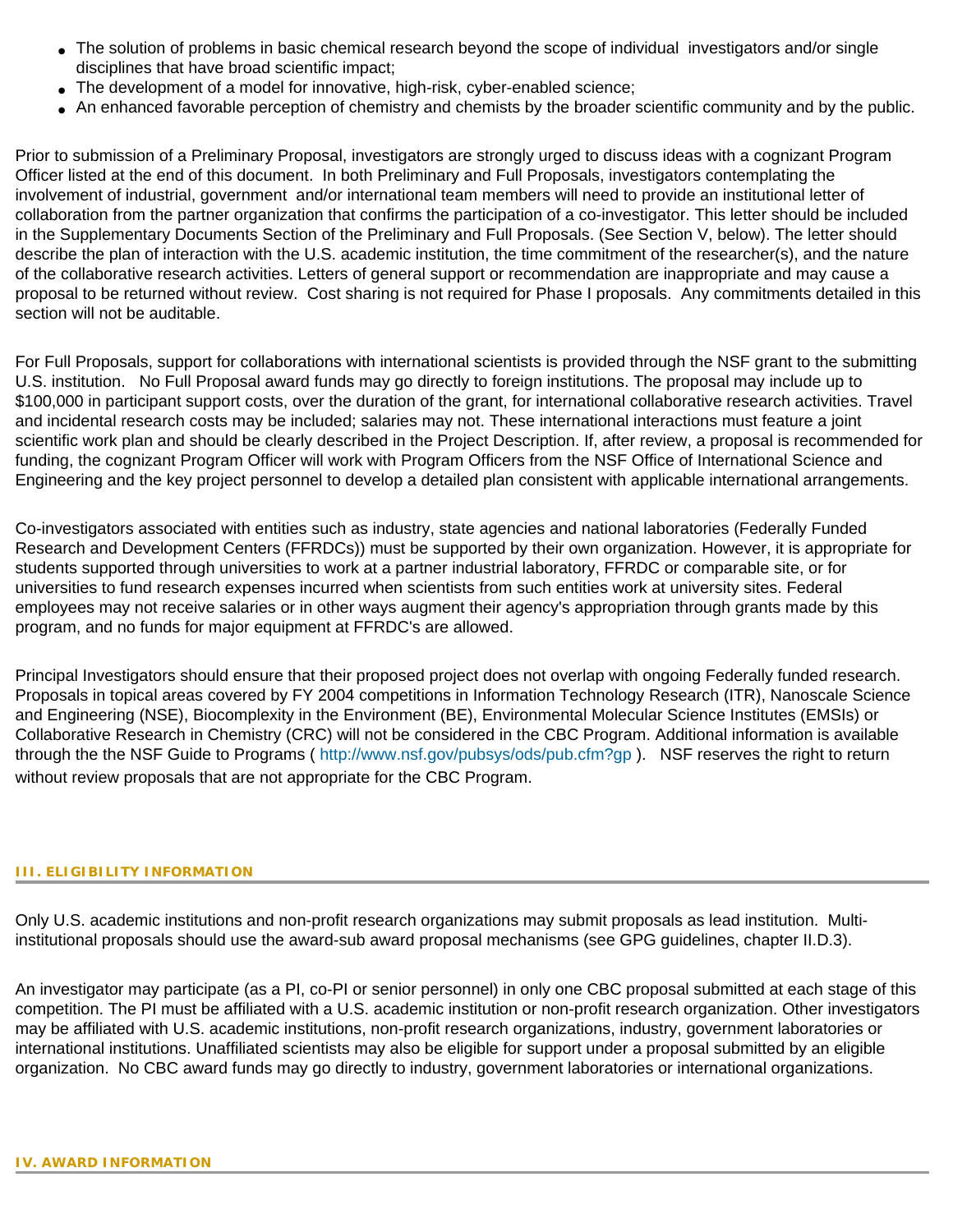- The solution of problems in basic chemical research beyond the scope of individual investigators and/or single disciplines that have broad scientific impact;
- The development of a model for innovative, high-risk, cyber-enabled science;
- An enhanced favorable perception of chemistry and chemists by the broader scientific community and by the public.

Prior to submission of a Preliminary Proposal, investigators are strongly urged to discuss ideas with a cognizant Program Officer listed at the end of this document. In both Preliminary and Full Proposals, investigators contemplating the involvement of industrial, government and/or international team members will need to provide an institutional letter of collaboration from the partner organization that confirms the participation of a co-investigator. This letter should be included in the Supplementary Documents Section of the Preliminary and Full Proposals. (See Section V, below). The letter should describe the plan of interaction with the U.S. academic institution, the time commitment of the researcher(s), and the nature of the collaborative research activities. Letters of general support or recommendation are inappropriate and may cause a proposal to be returned without review. Cost sharing is not required for Phase I proposals. Any commitments detailed in this section will not be auditable.

For Full Proposals, support for collaborations with international scientists is provided through the NSF grant to the submitting U.S. institution. No Full Proposal award funds may go directly to foreign institutions. The proposal may include up to \$100,000 in participant support costs, over the duration of the grant, for international collaborative research activities. Travel and incidental research costs may be included; salaries may not. These international interactions must feature a joint scientific work plan and should be clearly described in the Project Description. If, after review, a proposal is recommended for funding, the cognizant Program Officer will work with Program Officers from the NSF Office of International Science and Engineering and the key project personnel to develop a detailed plan consistent with applicable international arrangements.

Co-investigators associated with entities such as industry, state agencies and national laboratories (Federally Funded Research and Development Centers (FFRDCs)) must be supported by their own organization. However, it is appropriate for students supported through universities to work at a partner industrial laboratory, FFRDC or comparable site, or for universities to fund research expenses incurred when scientists from such entities work at university sites. Federal employees may not receive salaries or in other ways augment their agency's appropriation through grants made by this program, and no funds for major equipment at FFRDC's are allowed.

Principal Investigators should ensure that their proposed project does not overlap with ongoing Federally funded research. Proposals in topical areas covered by FY 2004 competitions in Information Technology Research (ITR), Nanoscale Science and Engineering (NSE), Biocomplexity in the Environment (BE), Environmental Molecular Science Institutes (EMSIs) or Collaborative Research in Chemistry (CRC) will not be considered in the CBC Program. Additional information is available through the the NSF Guide to Programs ( <http://www.nsf.gov/pubsys/ods/pub.cfm?gp> ). NSF reserves the right to return without review proposals that are not appropriate for the CBC Program.

### <span id="page-4-0"></span>**III. ELIGIBILITY INFORMATION**

Only U.S. academic institutions and non-profit research organizations may submit proposals as lead institution. Multiinstitutional proposals should use the award-sub award proposal mechanisms (see GPG guidelines, chapter II.D.3).

<span id="page-4-1"></span>An investigator may participate (as a PI, co-PI or senior personnel) in only one CBC proposal submitted at each stage of this competition. The PI must be affiliated with a U.S. academic institution or non-profit research organization. Other investigators may be affiliated with U.S. academic institutions, non-profit research organizations, industry, government laboratories or international institutions. Unaffiliated scientists may also be eligible for support under a proposal submitted by an eligible organization. No CBC award funds may go directly to industry, government laboratories or international organizations.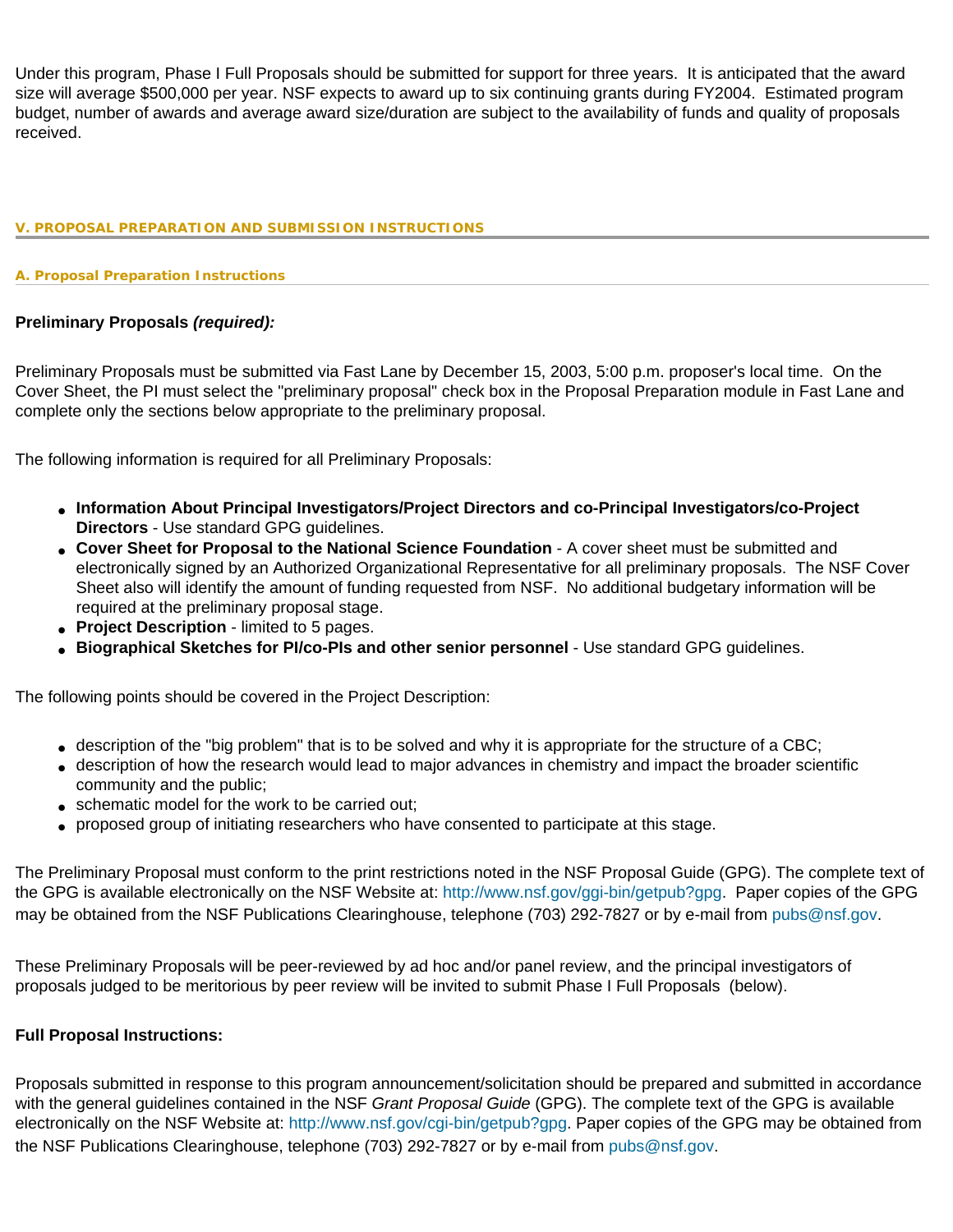Under this program, Phase I Full Proposals should be submitted for support for three years. It is anticipated that the award size will average \$500,000 per year. NSF expects to award up to six continuing grants during FY2004. Estimated program budget, number of awards and average award size/duration are subject to the availability of funds and quality of proposals received.

### <span id="page-5-0"></span>**V. PROPOSAL PREPARATION AND SUBMISSION INSTRUCTIONS**

### **A. Proposal Preparation Instructions**

### **Preliminary Proposals** *(required):*

Preliminary Proposals must be submitted via Fast Lane by December 15, 2003, 5:00 p.m. proposer's local time. On the Cover Sheet, the PI must select the "preliminary proposal" check box in the Proposal Preparation module in Fast Lane and complete only the sections below appropriate to the preliminary proposal.

The following information is required for all Preliminary Proposals:

- **Information About Principal Investigators/Project Directors and co-Principal Investigators/co-Project Directors** - Use standard GPG guidelines.
- **Cover Sheet for Proposal to the National Science Foundation** A cover sheet must be submitted and electronically signed by an Authorized Organizational Representative for all preliminary proposals. The NSF Cover Sheet also will identify the amount of funding requested from NSF. No additional budgetary information will be required at the preliminary proposal stage.
- **Project Description** limited to 5 pages.
- **Biographical Sketches for PI/co-PIs and other senior personnel** Use standard GPG guidelines.

The following points should be covered in the Project Description:

- description of the "big problem" that is to be solved and why it is appropriate for the structure of a CBC;
- description of how the research would lead to major advances in chemistry and impact the broader scientific community and the public;
- schematic model for the work to be carried out;
- proposed group of initiating researchers who have consented to participate at this stage.

The Preliminary Proposal must conform to the print restrictions noted in the NSF Proposal Guide (GPG). The complete text of the GPG is available electronically on the NSF Website at: <http://www.nsf.gov/ggi-bin/getpub?gpg>. Paper copies of the GPG may be obtained from the NSF Publications Clearinghouse, telephone (703) 292-7827 or by e-mail from [pubs@nsf.gov.](mailto:pubs@nsf.gov)

These Preliminary Proposals will be peer-reviewed by ad hoc and/or panel review, and the principal investigators of proposals judged to be meritorious by peer review will be invited to submit Phase I Full Proposals (below).

### **Full Proposal Instructions:**

Proposals submitted in response to this program announcement/solicitation should be prepared and submitted in accordance with the general guidelines contained in the NSF *Grant Proposal Guide* (GPG). The complete text of the GPG is available electronically on the NSF Website at: <http://www.nsf.gov/cgi-bin/getpub?gpg>. Paper copies of the GPG may be obtained from the NSF Publications Clearinghouse, telephone (703) 292-7827 or by e-mail from [pubs@nsf.gov.](mailto:pubs@nsf.gov)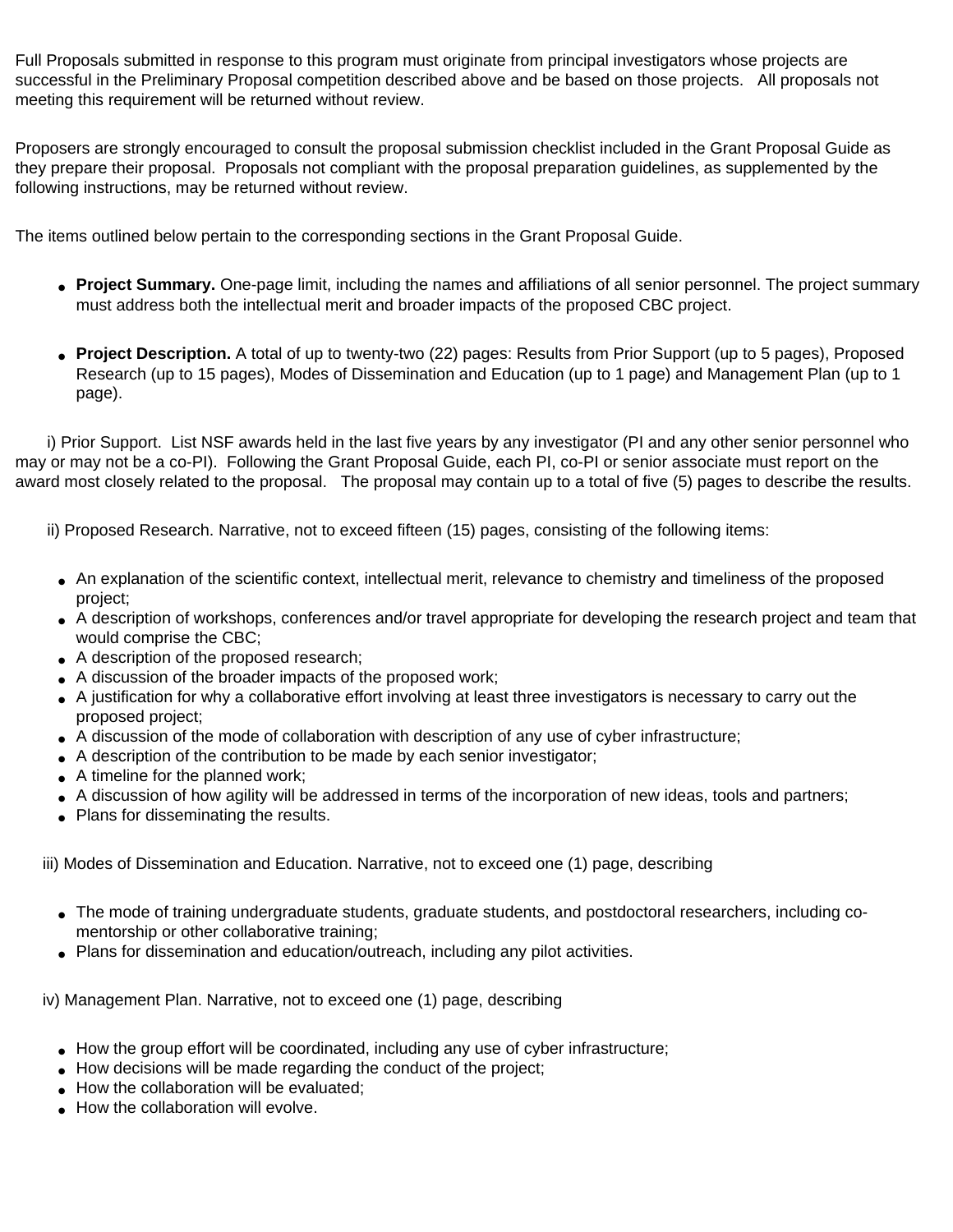Full Proposals submitted in response to this program must originate from principal investigators whose projects are successful in the Preliminary Proposal competition described above and be based on those projects. All proposals not meeting this requirement will be returned without review.

Proposers are strongly encouraged to consult the proposal submission checklist included in the Grant Proposal Guide as they prepare their proposal. Proposals not compliant with the proposal preparation guidelines, as supplemented by the following instructions, may be returned without review.

The items outlined below pertain to the corresponding sections in the Grant Proposal Guide.

- **Project Summary.** One-page limit, including the names and affiliations of all senior personnel. The project summary must address both the intellectual merit and broader impacts of the proposed CBC project.
- **Project Description.** A total of up to twenty-two (22) pages: Results from Prior Support (up to 5 pages), Proposed Research (up to 15 pages), Modes of Dissemination and Education (up to 1 page) and Management Plan (up to 1 page).

 i) Prior Support. List NSF awards held in the last five years by any investigator (PI and any other senior personnel who may or may not be a co-PI). Following the Grant Proposal Guide, each PI, co-PI or senior associate must report on the award most closely related to the proposal. The proposal may contain up to a total of five (5) pages to describe the results.

ii) Proposed Research. Narrative, not to exceed fifteen (15) pages, consisting of the following items:

- An explanation of the scientific context, intellectual merit, relevance to chemistry and timeliness of the proposed project;
- A description of workshops, conferences and/or travel appropriate for developing the research project and team that would comprise the CBC;
- A description of the proposed research;
- A discussion of the broader impacts of the proposed work;
- A justification for why a collaborative effort involving at least three investigators is necessary to carry out the proposed project;
- A discussion of the mode of collaboration with description of any use of cyber infrastructure;
- A description of the contribution to be made by each senior investigator;
- A timeline for the planned work;
- A discussion of how agility will be addressed in terms of the incorporation of new ideas, tools and partners;
- Plans for disseminating the results.

iii) Modes of Dissemination and Education. Narrative, not to exceed one (1) page, describing

- The mode of training undergraduate students, graduate students, and postdoctoral researchers, including comentorship or other collaborative training;
- Plans for dissemination and education/outreach, including any pilot activities.

iv) Management Plan. Narrative, not to exceed one (1) page, describing

- How the group effort will be coordinated, including any use of cyber infrastructure;
- How decisions will be made regarding the conduct of the project;
- How the collaboration will be evaluated;
- How the collaboration will evolve.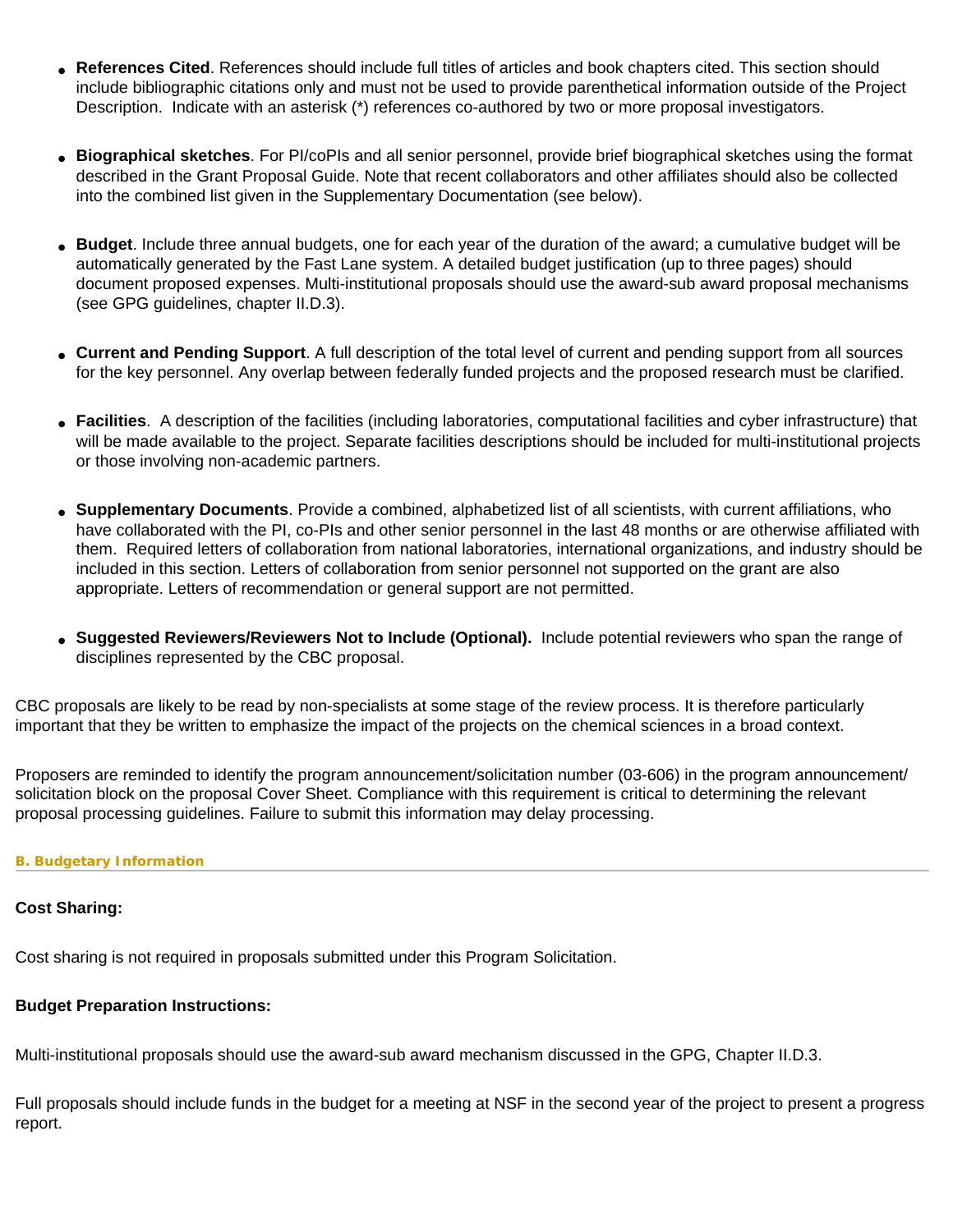- **References Cited**. References should include full titles of articles and book chapters cited. This section should include bibliographic citations only and must not be used to provide parenthetical information outside of the Project Description. Indicate with an asterisk (\*) references co-authored by two or more proposal investigators.
- **Biographical sketches**. For PI/coPIs and all senior personnel, provide brief biographical sketches using the format described in the Grant Proposal Guide. Note that recent collaborators and other affiliates should also be collected into the combined list given in the Supplementary Documentation (see below).
- **Budget**. Include three annual budgets, one for each year of the duration of the award; a cumulative budget will be automatically generated by the Fast Lane system. A detailed budget justification (up to three pages) should document proposed expenses. Multi-institutional proposals should use the award-sub award proposal mechanisms (see GPG guidelines, chapter II.D.3).
- **Current and Pending Support**. A full description of the total level of current and pending support from all sources for the key personnel. Any overlap between federally funded projects and the proposed research must be clarified.
- **Facilities**. A description of the facilities (including laboratories, computational facilities and cyber infrastructure) that will be made available to the project. Separate facilities descriptions should be included for multi-institutional projects or those involving non-academic partners.
- **Supplementary Documents**. Provide a combined, alphabetized list of all scientists, with current affiliations, who have collaborated with the PI, co-PIs and other senior personnel in the last 48 months or are otherwise affiliated with them. Required letters of collaboration from national laboratories, international organizations, and industry should be included in this section. Letters of collaboration from senior personnel not supported on the grant are also appropriate. Letters of recommendation or general support are not permitted.
- **Suggested Reviewers/Reviewers Not to Include (Optional).** Include potential reviewers who span the range of disciplines represented by the CBC proposal.

CBC proposals are likely to be read by non-specialists at some stage of the review process. It is therefore particularly important that they be written to emphasize the impact of the projects on the chemical sciences in a broad context.

Proposers are reminded to identify the program announcement/solicitation number (03-606) in the program announcement/ solicitation block on the proposal Cover Sheet. Compliance with this requirement is critical to determining the relevant proposal processing guidelines. Failure to submit this information may delay processing.

### <span id="page-7-0"></span>**B. Budgetary Information**

### **Cost Sharing:**

Cost sharing is not required in proposals submitted under this Program Solicitation.

# **Budget Preparation Instructions:**

Multi-institutional proposals should use the award-sub award mechanism discussed in the GPG, Chapter II.D.3.

Full proposals should include funds in the budget for a meeting at NSF in the second year of the project to present a progress report.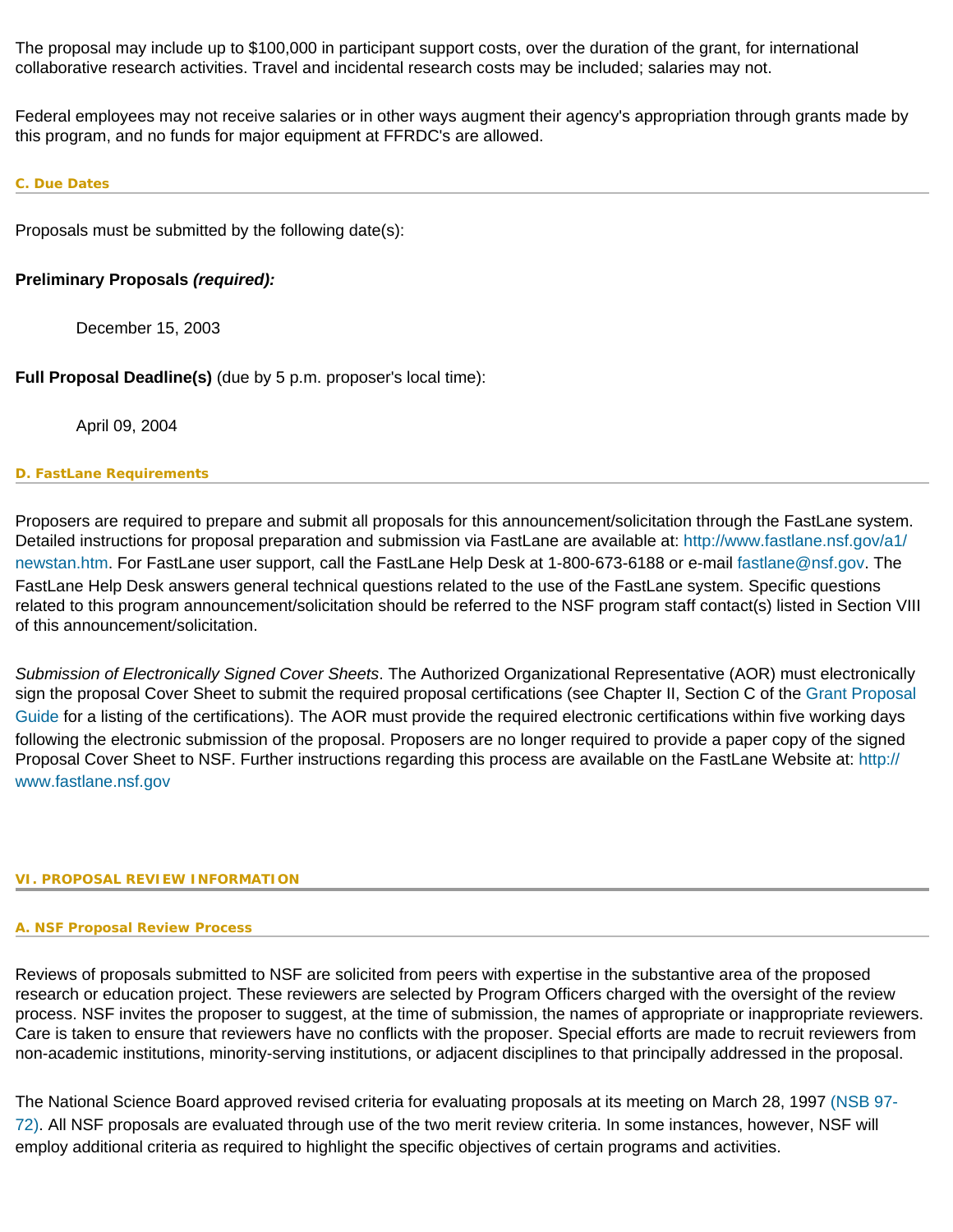The proposal may include up to \$100,000 in participant support costs, over the duration of the grant, for international collaborative research activities. Travel and incidental research costs may be included; salaries may not.

Federal employees may not receive salaries or in other ways augment their agency's appropriation through grants made by this program, and no funds for major equipment at FFRDC's are allowed.

<span id="page-8-0"></span>**C. Due Dates**

Proposals must be submitted by the following date(s):

### **Preliminary Proposals** *(required):*

December 15, 2003

**Full Proposal Deadline(s)** (due by 5 p.m. proposer's local time):

April 09, 2004

#### <span id="page-8-1"></span>**D. FastLane Requirements**

Proposers are required to prepare and submit all proposals for this announcement/solicitation through the FastLane system. Detailed instructions for proposal preparation and submission via FastLane are available at: [http://www.fastlane.nsf.gov/a1/](http://www.fastlane.nsf.gov/a1/newstan.htm) [newstan.htm.](http://www.fastlane.nsf.gov/a1/newstan.htm) For FastLane user support, call the FastLane Help Desk at 1-800-673-6188 or e-mail [fastlane@nsf.gov.](mailto:fastlane@nsf.gov) The FastLane Help Desk answers general technical questions related to the use of the FastLane system. Specific questions related to this program announcement/solicitation should be referred to the NSF program staff contact(s) listed in Section VIII of this announcement/solicitation.

*Submission of Electronically Signed Cover Sheets*. The Authorized Organizational Representative (AOR) must electronically sign the proposal Cover Sheet to submit the required proposal certifications (see Chapter II, Section C of the [Grant Proposal](http://www.nsf.gov/pubsys/ods/getpub.cfm?gpg)  [Guide](http://www.nsf.gov/pubsys/ods/getpub.cfm?gpg) for a listing of the certifications). The AOR must provide the required electronic certifications within five working days following the electronic submission of the proposal. Proposers are no longer required to provide a paper copy of the signed Proposal Cover Sheet to NSF. Further instructions regarding this process are available on the FastLane Website at: [http://](http://www.fastlane.nsf.gov/) [www.fastlane.nsf.gov](http://www.fastlane.nsf.gov/)

#### <span id="page-8-3"></span><span id="page-8-2"></span>**VI. PROPOSAL REVIEW INFORMATION**

### **A. NSF Proposal Review Process**

Reviews of proposals submitted to NSF are solicited from peers with expertise in the substantive area of the proposed research or education project. These reviewers are selected by Program Officers charged with the oversight of the review process. NSF invites the proposer to suggest, at the time of submission, the names of appropriate or inappropriate reviewers. Care is taken to ensure that reviewers have no conflicts with the proposer. Special efforts are made to recruit reviewers from non-academic institutions, minority-serving institutions, or adjacent disciplines to that principally addressed in the proposal.

The National Science Board approved revised criteria for evaluating proposals at its meeting on March 28, 1997 [\(NSB 97-](http://www.nsf.gov/pubsys/ods/getpub.cfm?nsb9772) [72\)](http://www.nsf.gov/pubsys/ods/getpub.cfm?nsb9772). All NSF proposals are evaluated through use of the two merit review criteria. In some instances, however, NSF will employ additional criteria as required to highlight the specific objectives of certain programs and activities.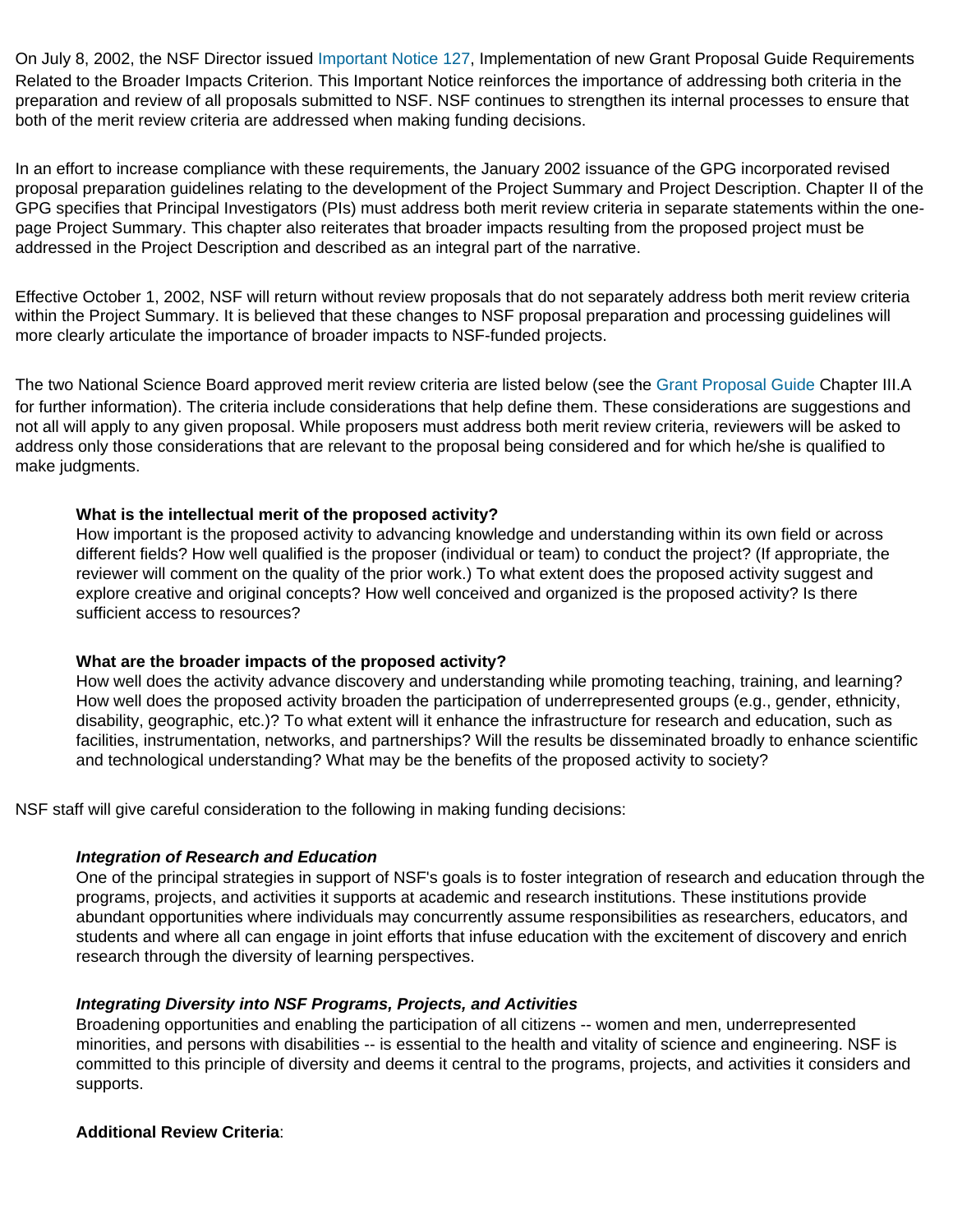On July 8, 2002, the NSF Director issued [Important Notice 127](http://www.nsf.gov/pubsys/ods/getpub.cfm?iin127), Implementation of new Grant Proposal Guide Requirements Related to the Broader Impacts Criterion. This Important Notice reinforces the importance of addressing both criteria in the preparation and review of all proposals submitted to NSF. NSF continues to strengthen its internal processes to ensure that both of the merit review criteria are addressed when making funding decisions.

In an effort to increase compliance with these requirements, the January 2002 issuance of the GPG incorporated revised proposal preparation guidelines relating to the development of the Project Summary and Project Description. Chapter II of the GPG specifies that Principal Investigators (PIs) must address both merit review criteria in separate statements within the onepage Project Summary. This chapter also reiterates that broader impacts resulting from the proposed project must be addressed in the Project Description and described as an integral part of the narrative.

Effective October 1, 2002, NSF will return without review proposals that do not separately address both merit review criteria within the Project Summary. It is believed that these changes to NSF proposal preparation and processing guidelines will more clearly articulate the importance of broader impacts to NSF-funded projects.

The two National Science Board approved merit review criteria are listed below (see the [Grant Proposal Guide](http://www.nsf.gov/pubsys/ods/getpub.cfm?gpg) Chapter III.A for further information). The criteria include considerations that help define them. These considerations are suggestions and not all will apply to any given proposal. While proposers must address both merit review criteria, reviewers will be asked to address only those considerations that are relevant to the proposal being considered and for which he/she is qualified to make judgments.

## **What is the intellectual merit of the proposed activity?**

How important is the proposed activity to advancing knowledge and understanding within its own field or across different fields? How well qualified is the proposer (individual or team) to conduct the project? (If appropriate, the reviewer will comment on the quality of the prior work.) To what extent does the proposed activity suggest and explore creative and original concepts? How well conceived and organized is the proposed activity? Is there sufficient access to resources?

### **What are the broader impacts of the proposed activity?**

How well does the activity advance discovery and understanding while promoting teaching, training, and learning? How well does the proposed activity broaden the participation of underrepresented groups (e.g., gender, ethnicity, disability, geographic, etc.)? To what extent will it enhance the infrastructure for research and education, such as facilities, instrumentation, networks, and partnerships? Will the results be disseminated broadly to enhance scientific and technological understanding? What may be the benefits of the proposed activity to society?

NSF staff will give careful consideration to the following in making funding decisions:

### *Integration of Research and Education*

One of the principal strategies in support of NSF's goals is to foster integration of research and education through the programs, projects, and activities it supports at academic and research institutions. These institutions provide abundant opportunities where individuals may concurrently assume responsibilities as researchers, educators, and students and where all can engage in joint efforts that infuse education with the excitement of discovery and enrich research through the diversity of learning perspectives.

### *Integrating Diversity into NSF Programs, Projects, and Activities*

Broadening opportunities and enabling the participation of all citizens -- women and men, underrepresented minorities, and persons with disabilities -- is essential to the health and vitality of science and engineering. NSF is committed to this principle of diversity and deems it central to the programs, projects, and activities it considers and supports.

### **Additional Review Criteria**: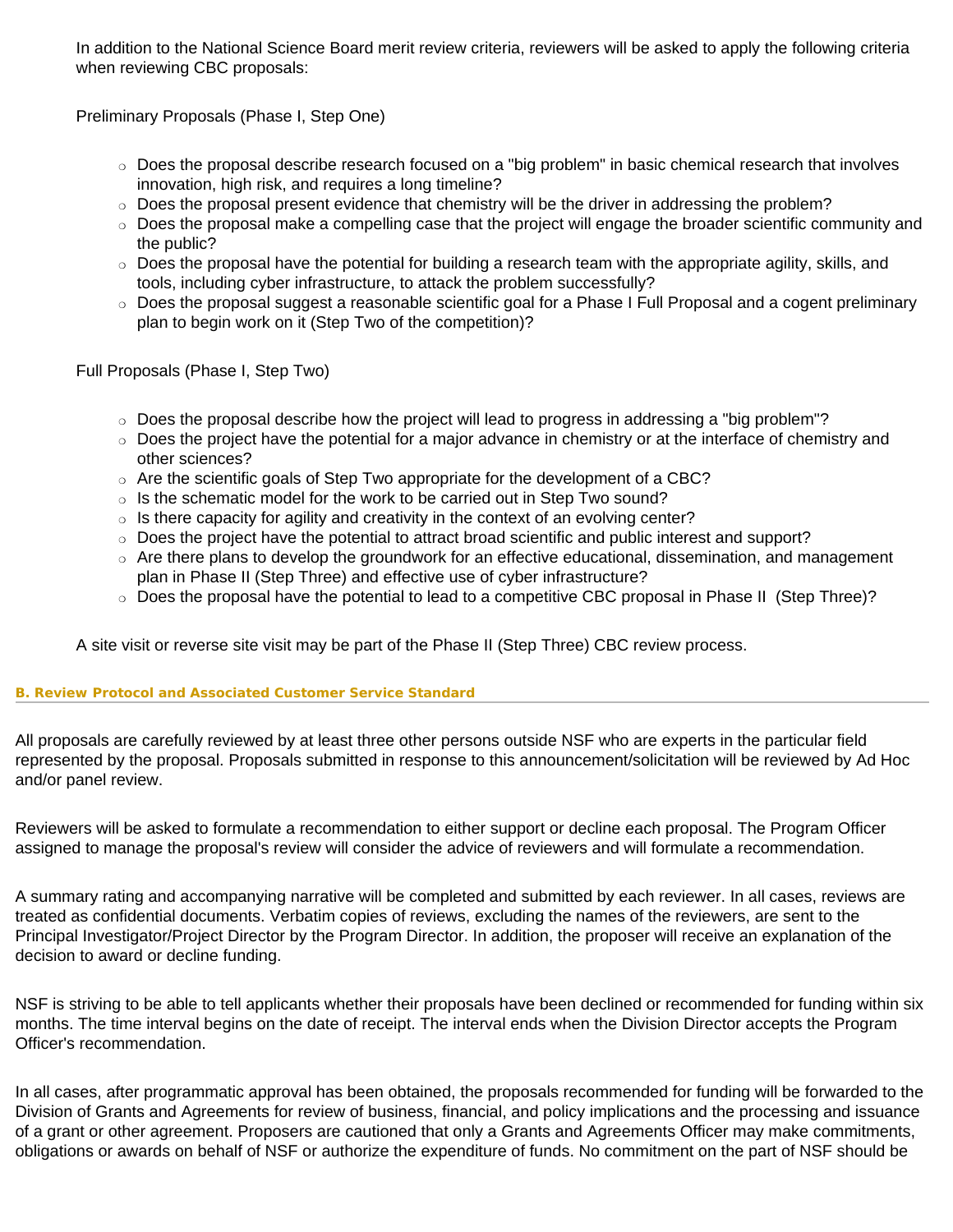In addition to the National Science Board merit review criteria, reviewers will be asked to apply the following criteria when reviewing CBC proposals:

Preliminary Proposals (Phase I, Step One)

- ❍ Does the proposal describe research focused on a "big problem" in basic chemical research that involves innovation, high risk, and requires a long timeline?
- $\circ$  Does the proposal present evidence that chemistry will be the driver in addressing the problem?
- ❍ Does the proposal make a compelling case that the project will engage the broader scientific community and the public?
- $\circ$  Does the proposal have the potential for building a research team with the appropriate agility, skills, and tools, including cyber infrastructure, to attack the problem successfully?
- ❍ Does the proposal suggest a reasonable scientific goal for a Phase I Full Proposal and a cogent preliminary plan to begin work on it (Step Two of the competition)?

Full Proposals (Phase I, Step Two)

- ❍ Does the proposal describe how the project will lead to progress in addressing a "big problem"?
- ❍ Does the project have the potential for a major advance in chemistry or at the interface of chemistry and other sciences?
- ❍ Are the scientific goals of Step Two appropriate for the development of a CBC?
- $\circ$  Is the schematic model for the work to be carried out in Step Two sound?
- $\circ$  Is there capacity for agility and creativity in the context of an evolving center?
- ❍ Does the project have the potential to attract broad scientific and public interest and support?
- ❍ Are there plans to develop the groundwork for an effective educational, dissemination, and management plan in Phase II (Step Three) and effective use of cyber infrastructure?
- ❍ Does the proposal have the potential to lead to a competitive CBC proposal in Phase II (Step Three)?

A site visit or reverse site visit may be part of the Phase II (Step Three) CBC review process.

### <span id="page-10-0"></span>**B. Review Protocol and Associated Customer Service Standard**

All proposals are carefully reviewed by at least three other persons outside NSF who are experts in the particular field represented by the proposal. Proposals submitted in response to this announcement/solicitation will be reviewed by Ad Hoc and/or panel review.

Reviewers will be asked to formulate a recommendation to either support or decline each proposal. The Program Officer assigned to manage the proposal's review will consider the advice of reviewers and will formulate a recommendation.

A summary rating and accompanying narrative will be completed and submitted by each reviewer. In all cases, reviews are treated as confidential documents. Verbatim copies of reviews, excluding the names of the reviewers, are sent to the Principal Investigator/Project Director by the Program Director. In addition, the proposer will receive an explanation of the decision to award or decline funding.

NSF is striving to be able to tell applicants whether their proposals have been declined or recommended for funding within six months. The time interval begins on the date of receipt. The interval ends when the Division Director accepts the Program Officer's recommendation.

In all cases, after programmatic approval has been obtained, the proposals recommended for funding will be forwarded to the Division of Grants and Agreements for review of business, financial, and policy implications and the processing and issuance of a grant or other agreement. Proposers are cautioned that only a Grants and Agreements Officer may make commitments, obligations or awards on behalf of NSF or authorize the expenditure of funds. No commitment on the part of NSF should be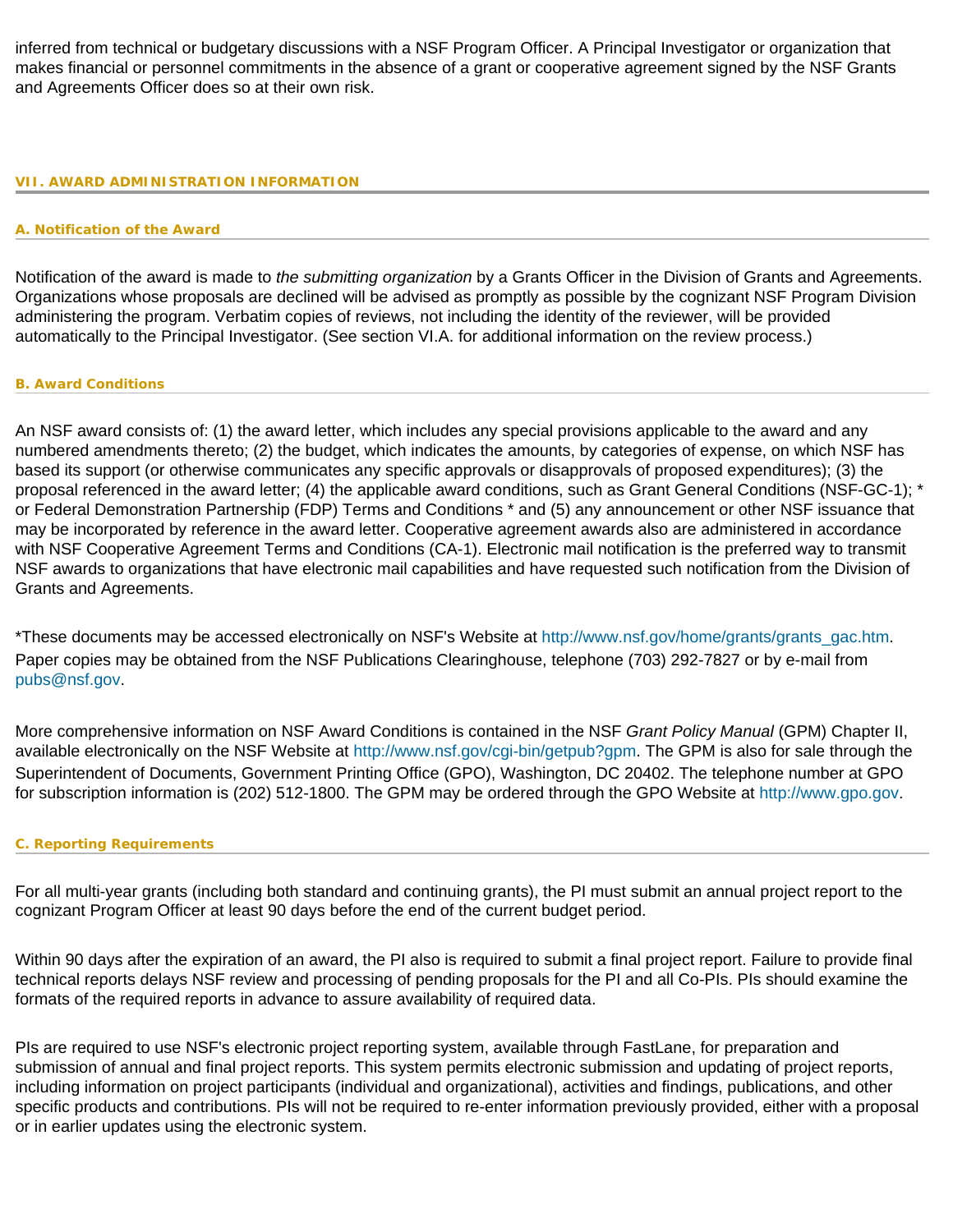inferred from technical or budgetary discussions with a NSF Program Officer. A Principal Investigator or organization that makes financial or personnel commitments in the absence of a grant or cooperative agreement signed by the NSF Grants and Agreements Officer does so at their own risk.

#### <span id="page-11-1"></span><span id="page-11-0"></span>**VII. AWARD ADMINISTRATION INFORMATION**

#### **A. Notification of the Award**

Notification of the award is made to *the submitting organization* by a Grants Officer in the Division of Grants and Agreements. Organizations whose proposals are declined will be advised as promptly as possible by the cognizant NSF Program Division administering the program. Verbatim copies of reviews, not including the identity of the reviewer, will be provided automatically to the Principal Investigator. (See section VI.A. for additional information on the review process.)

#### <span id="page-11-2"></span>**B. Award Conditions**

An NSF award consists of: (1) the award letter, which includes any special provisions applicable to the award and any numbered amendments thereto; (2) the budget, which indicates the amounts, by categories of expense, on which NSF has based its support (or otherwise communicates any specific approvals or disapprovals of proposed expenditures); (3) the proposal referenced in the award letter; (4) the applicable award conditions, such as Grant General Conditions (NSF-GC-1); \* or Federal Demonstration Partnership (FDP) Terms and Conditions \* and (5) any announcement or other NSF issuance that may be incorporated by reference in the award letter. Cooperative agreement awards also are administered in accordance with NSF Cooperative Agreement Terms and Conditions (CA-1). Electronic mail notification is the preferred way to transmit NSF awards to organizations that have electronic mail capabilities and have requested such notification from the Division of Grants and Agreements.

\*These documents may be accessed electronically on NSF's Website at [http://www.nsf.gov/home/grants/grants\\_gac.htm.](http://www.nsf.gov/home/grants/grants_gac.htm) Paper copies may be obtained from the NSF Publications Clearinghouse, telephone (703) 292-7827 or by e-mail from [pubs@nsf.gov](mailto:pubs@nsf.gov).

More comprehensive information on NSF Award Conditions is contained in the NSF *Grant Policy Manual* (GPM) Chapter II, available electronically on the NSF Website at [http://www.nsf.gov/cgi-bin/getpub?gpm.](http://www.nsf.gov/cgi-bin/getpub?gpm) The GPM is also for sale through the Superintendent of Documents, Government Printing Office (GPO), Washington, DC 20402. The telephone number at GPO for subscription information is (202) 512-1800. The GPM may be ordered through the GPO Website at [http://www.gpo.gov.](http://www.gpo.gov/)

#### <span id="page-11-3"></span>**C. Reporting Requirements**

For all multi-year grants (including both standard and continuing grants), the PI must submit an annual project report to the cognizant Program Officer at least 90 days before the end of the current budget period.

Within 90 days after the expiration of an award, the PI also is required to submit a final project report. Failure to provide final technical reports delays NSF review and processing of pending proposals for the PI and all Co-PIs. PIs should examine the formats of the required reports in advance to assure availability of required data.

<span id="page-11-4"></span>PIs are required to use NSF's electronic project reporting system, available through FastLane, for preparation and submission of annual and final project reports. This system permits electronic submission and updating of project reports, including information on project participants (individual and organizational), activities and findings, publications, and other specific products and contributions. PIs will not be required to re-enter information previously provided, either with a proposal or in earlier updates using the electronic system.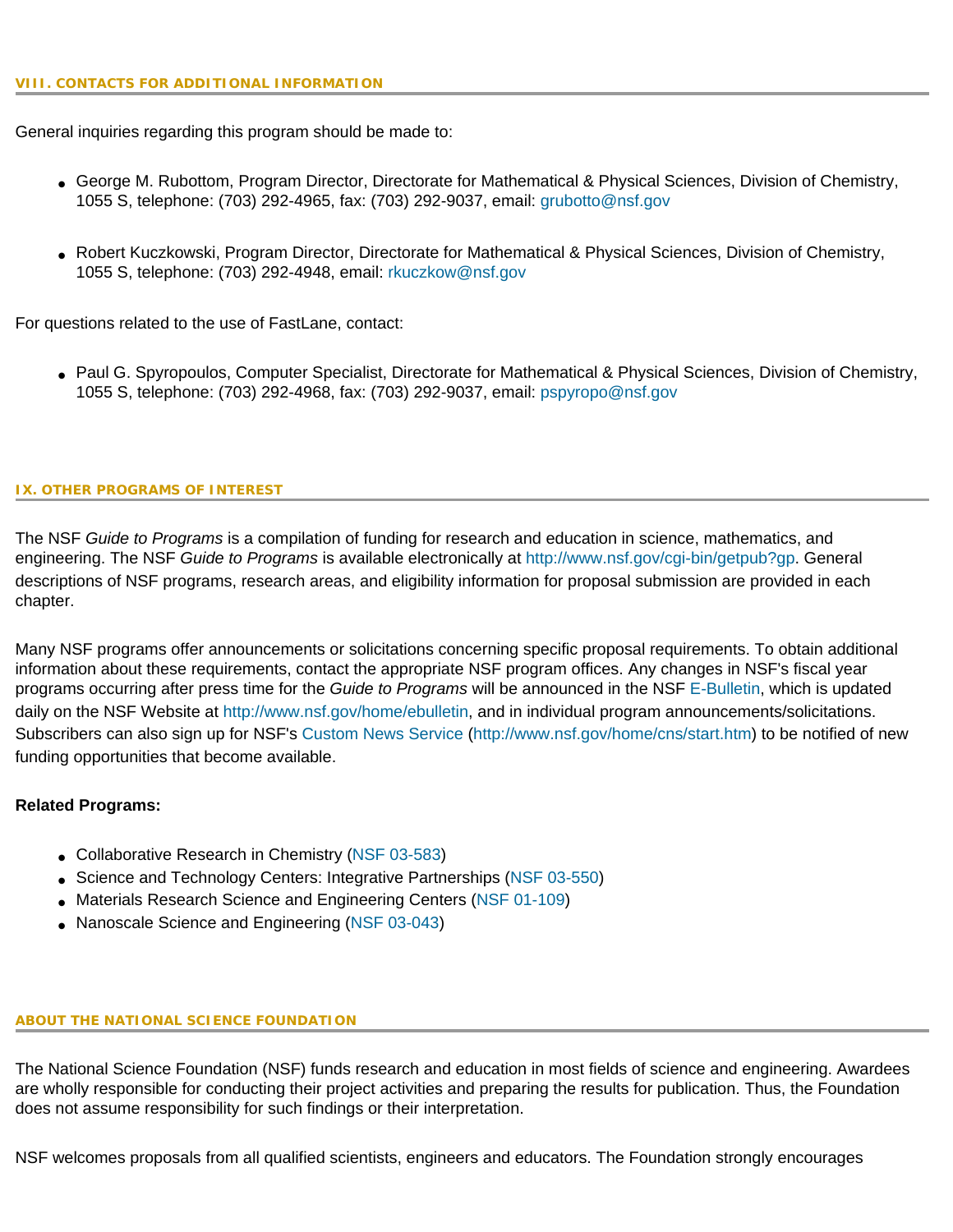General inquiries regarding this program should be made to:

- George M. Rubottom, Program Director, Directorate for Mathematical & Physical Sciences, Division of Chemistry, 1055 S, telephone: (703) 292-4965, fax: (703) 292-9037, email: [grubotto@nsf.gov](mailto:grubotto@nsf.gov)
- Robert Kuczkowski, Program Director, Directorate for Mathematical & Physical Sciences, Division of Chemistry, 1055 S, telephone: (703) 292-4948, email: [rkuczkow@nsf.gov](mailto:rkuczkow@nsf.gov)

For questions related to the use of FastLane, contact:

● Paul G. Spyropoulos, Computer Specialist, Directorate for Mathematical & Physical Sciences, Division of Chemistry, 1055 S, telephone: (703) 292-4968, fax: (703) 292-9037, email: [pspyropo@nsf.gov](mailto:pspyropo@nsf.gov)

### <span id="page-12-0"></span>**IX. OTHER PROGRAMS OF INTEREST**

The NSF *Guide to Programs* is a compilation of funding for research and education in science, mathematics, and engineering. The NSF *Guide to Programs* is available electronically at [http://www.nsf.gov/cgi-bin/getpub?gp.](http://www.nsf.gov/cgi-bin/getpub?gp) General descriptions of NSF programs, research areas, and eligibility information for proposal submission are provided in each chapter.

Many NSF programs offer announcements or solicitations concerning specific proposal requirements. To obtain additional information about these requirements, contact the appropriate NSF program offices. Any changes in NSF's fiscal year programs occurring after press time for the *Guide to Programs* will be announced in the NSF [E-Bulletin,](http://www.nsf.gov/home/ebulletin) which is updated daily on the NSF Website at<http://www.nsf.gov/home/ebulletin>, and in individual program announcements/solicitations. Subscribers can also sign up for NSF's [Custom News Service \(http://www.nsf.gov/home/cns/start.htm\)](http://www.nsf.gov/home/cns/start.htm) to be notified of new funding opportunities that become available.

### **Related Programs:**

- Collaborative Research in Chemistry ([NSF 03-583](http://www.nsf.gov/cgi-bin/getpub?nsf03583))
- Science and Technology Centers: Integrative Partnerships ([NSF 03-550\)](http://www.nsf.gov/cgi-bin/getpub?nsf03550)
- Materials Research Science and Engineering Centers [\(NSF 01-109](http://www.nsf.gov/cgi-bin/getpub?nsf01109))
- Nanoscale Science and Engineering [\(NSF 03-043](http://www.nsf.gov/cgi-bin/getpub?nsf03043))

### **ABOUT THE NATIONAL SCIENCE FOUNDATION**

The National Science Foundation (NSF) funds research and education in most fields of science and engineering. Awardees are wholly responsible for conducting their project activities and preparing the results for publication. Thus, the Foundation does not assume responsibility for such findings or their interpretation.

NSF welcomes proposals from all qualified scientists, engineers and educators. The Foundation strongly encourages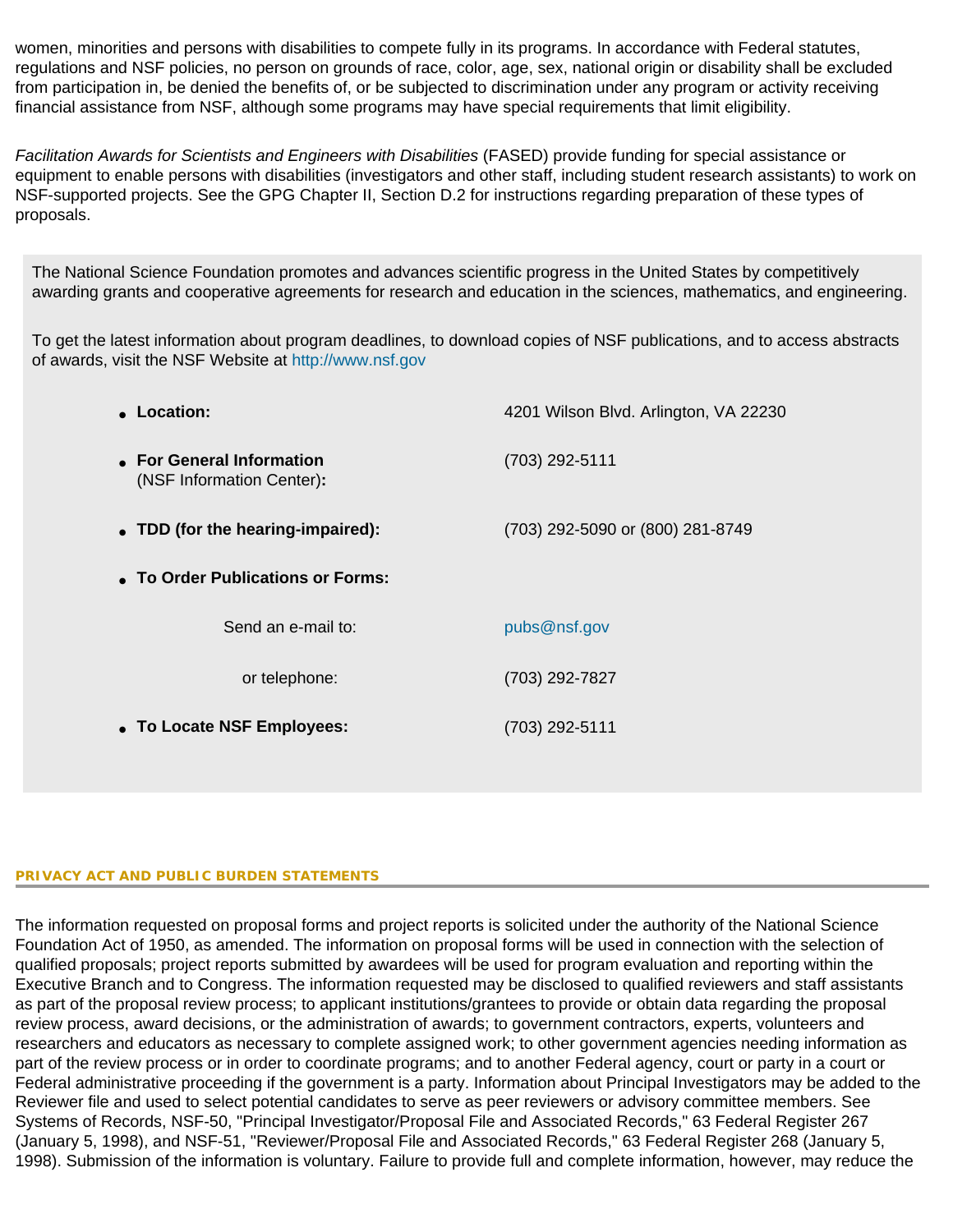women, minorities and persons with disabilities to compete fully in its programs. In accordance with Federal statutes, regulations and NSF policies, no person on grounds of race, color, age, sex, national origin or disability shall be excluded from participation in, be denied the benefits of, or be subjected to discrimination under any program or activity receiving financial assistance from NSF, although some programs may have special requirements that limit eligibility.

*Facilitation Awards for Scientists and Engineers with Disabilities* (FASED) provide funding for special assistance or equipment to enable persons with disabilities (investigators and other staff, including student research assistants) to work on NSF-supported projects. See the GPG Chapter II, Section D.2 for instructions regarding preparation of these types of proposals.

The National Science Foundation promotes and advances scientific progress in the United States by competitively awarding grants and cooperative agreements for research and education in the sciences, mathematics, and engineering.

To get the latest information about program deadlines, to download copies of NSF publications, and to access abstracts of awards, visit the NSF Website at [http://www.nsf.gov](http://www.nsf.gov/)

| • Location:                                            | 4201 Wilson Blvd. Arlington, VA 22230 |
|--------------------------------------------------------|---------------------------------------|
| • For General Information<br>(NSF Information Center): | (703) 292-5111                        |
| • TDD (for the hearing-impaired):                      | (703) 292-5090 or (800) 281-8749      |
| • To Order Publications or Forms:                      |                                       |
| Send an e-mail to:                                     | pubs@nsf.gov                          |
| or telephone:                                          | (703) 292-7827                        |
| • To Locate NSF Employees:                             | (703) 292-5111                        |
|                                                        |                                       |

### **PRIVACY ACT AND PUBLIC BURDEN STATEMENTS**

The information requested on proposal forms and project reports is solicited under the authority of the National Science Foundation Act of 1950, as amended. The information on proposal forms will be used in connection with the selection of qualified proposals; project reports submitted by awardees will be used for program evaluation and reporting within the Executive Branch and to Congress. The information requested may be disclosed to qualified reviewers and staff assistants as part of the proposal review process; to applicant institutions/grantees to provide or obtain data regarding the proposal review process, award decisions, or the administration of awards; to government contractors, experts, volunteers and researchers and educators as necessary to complete assigned work; to other government agencies needing information as part of the review process or in order to coordinate programs; and to another Federal agency, court or party in a court or Federal administrative proceeding if the government is a party. Information about Principal Investigators may be added to the Reviewer file and used to select potential candidates to serve as peer reviewers or advisory committee members. See Systems of Records, NSF-50, "Principal Investigator/Proposal File and Associated Records," 63 Federal Register 267 (January 5, 1998), and NSF-51, "Reviewer/Proposal File and Associated Records," 63 Federal Register 268 (January 5, 1998). Submission of the information is voluntary. Failure to provide full and complete information, however, may reduce the